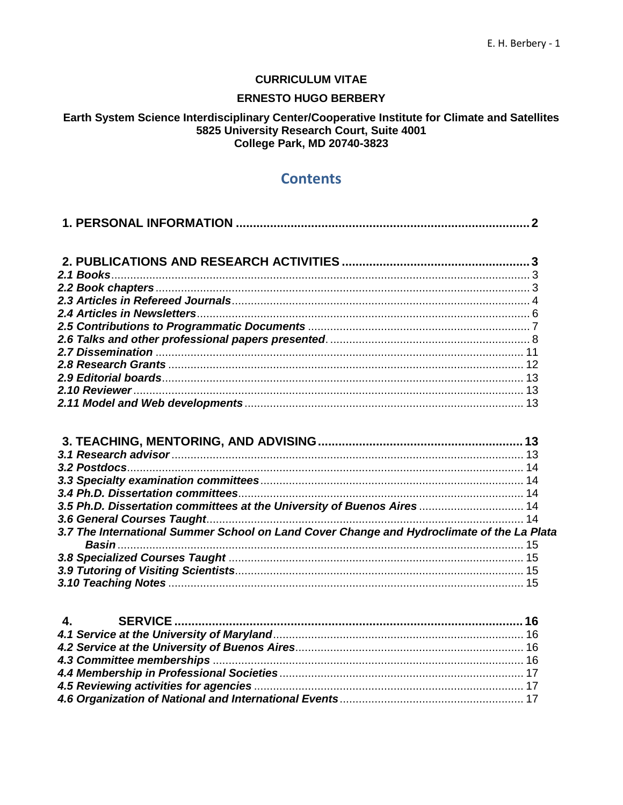## **CURRICULUM VITAE**

## **ERNESTO HUGO BERBERY**

## Earth System Science Interdisciplinary Center/Cooperative Institute for Climate and Satellites 5825 University Research Court, Suite 4001 **College Park, MD 20740-3823**

# **Contents**

| 3.5 Ph.D. Dissertation committees at the University of Buenos Aires  14                   |  |
|-------------------------------------------------------------------------------------------|--|
|                                                                                           |  |
| 3.7 The International Summer School on Land Cover Change and Hydroclimate of the La Plata |  |
|                                                                                           |  |
|                                                                                           |  |
|                                                                                           |  |
|                                                                                           |  |
| $\mathbf{4}$ .                                                                            |  |
|                                                                                           |  |
|                                                                                           |  |
|                                                                                           |  |
|                                                                                           |  |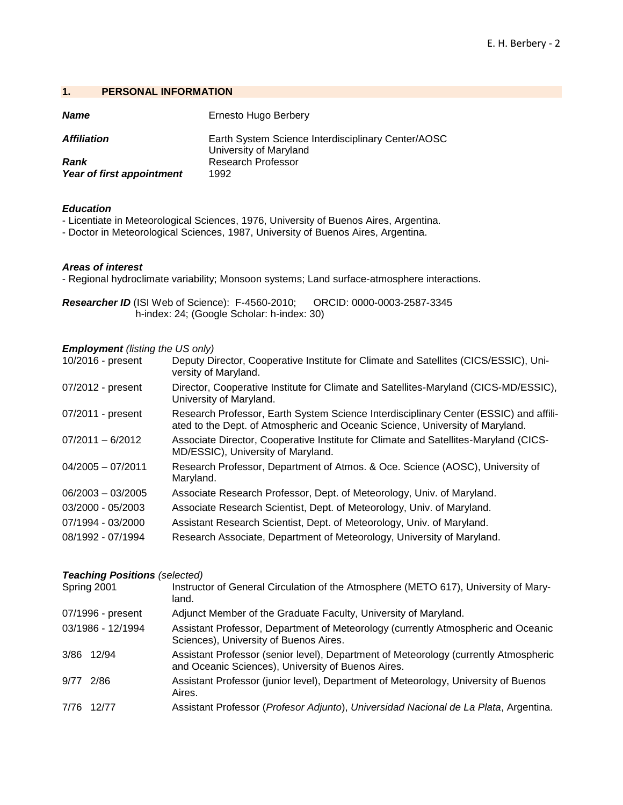## <span id="page-1-0"></span>**1. PERSONAL INFORMATION**

| <b>Name</b>                       | Ernesto Hugo Berbery                                                         |
|-----------------------------------|------------------------------------------------------------------------------|
| <b>Affiliation</b>                | Earth System Science Interdisciplinary Center/AOSC<br>University of Maryland |
| Rank<br>Year of first appointment | <b>Research Professor</b><br>1992                                            |

## *Education*

- Licentiate in Meteorological Sciences, 1976, University of Buenos Aires, Argentina.

- Doctor in Meteorological Sciences, 1987, University of Buenos Aires, Argentina.

## *Areas of interest*

- Regional hydroclimate variability; Monsoon systems; Land surface-atmosphere interactions.

*Researcher ID* (ISI Web of Science): F-4560-2010; ORCID: 0000-0003-2587-3345 h-index: 24; (Google Scholar: h-index: 30)

## *Employment (listing the US only)*

| 10/2016 - present   | Deputy Director, Cooperative Institute for Climate and Satellites (CICS/ESSIC), Uni-<br>versity of Maryland.                                                           |
|---------------------|------------------------------------------------------------------------------------------------------------------------------------------------------------------------|
| 07/2012 - present   | Director, Cooperative Institute for Climate and Satellites-Maryland (CICS-MD/ESSIC),<br>University of Maryland.                                                        |
| 07/2011 - present   | Research Professor, Earth System Science Interdisciplinary Center (ESSIC) and affili-<br>ated to the Dept. of Atmospheric and Oceanic Science, University of Maryland. |
| $07/2011 - 6/2012$  | Associate Director, Cooperative Institute for Climate and Satellites-Maryland (CICS-<br>MD/ESSIC), University of Maryland.                                             |
| $04/2005 - 07/2011$ | Research Professor, Department of Atmos. & Oce. Science (AOSC), University of<br>Maryland.                                                                             |
| $06/2003 - 03/2005$ | Associate Research Professor, Dept. of Meteorology, Univ. of Maryland.                                                                                                 |
| 03/2000 - 05/2003   | Associate Research Scientist, Dept. of Meteorology, Univ. of Maryland.                                                                                                 |
| 07/1994 - 03/2000   | Assistant Research Scientist, Dept. of Meteorology, Univ. of Maryland.                                                                                                 |
| 08/1992 - 07/1994   | Research Associate, Department of Meteorology, University of Maryland.                                                                                                 |

## *Teaching Positions (selected)*

|             | Spring 2001       | Instructor of General Circulation of the Atmosphere (METO 617), University of Mary-<br>land.                                               |
|-------------|-------------------|--------------------------------------------------------------------------------------------------------------------------------------------|
|             | 07/1996 - present | Adjunct Member of the Graduate Faculty, University of Maryland.                                                                            |
|             | 03/1986 - 12/1994 | Assistant Professor, Department of Meteorology (currently Atmospheric and Oceanic<br>Sciences), University of Buenos Aires.                |
|             | 3/86 12/94        | Assistant Professor (senior level), Department of Meteorology (currently Atmospheric<br>and Oceanic Sciences), University of Buenos Aires. |
| $9/77$ 2/86 |                   | Assistant Professor (junior level), Department of Meteorology, University of Buenos<br>Aires.                                              |
|             | 7/76 12/77        | Assistant Professor (Profesor Adjunto), Universidad Nacional de La Plata, Argentina.                                                       |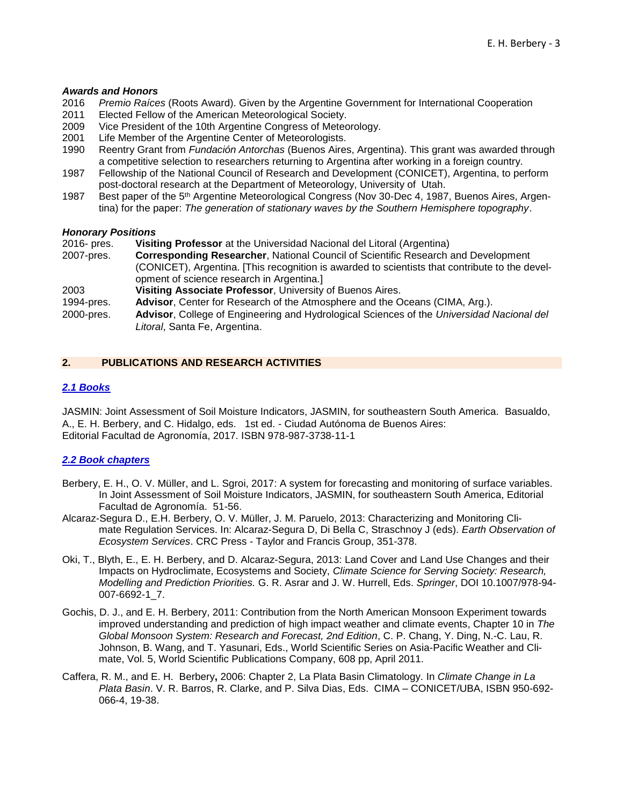#### *Awards and Honors*

- 2016 *Premio Raíces* (Roots Award). Given by the Argentine Government for International Cooperation
- 2011 Elected Fellow of the American Meteorological Society.
- 2009 Vice President of the 10th Argentine Congress of Meteorology.
- 2001 Life Member of the Argentine Center of Meteorologists.
- 1990 Reentry Grant from *Fundación Antorchas* (Buenos Aires, Argentina). This grant was awarded through a competitive selection to researchers returning to Argentina after working in a foreign country.
- 1987 Fellowship of the National Council of Research and Development (CONICET), Argentina, to perform post-doctoral research at the Department of Meteorology, University of Utah.
- 1987 Best paper of the 5<sup>th</sup> Argentine Meteorological Congress (Nov 30-Dec 4, 1987, Buenos Aires, Argentina) for the paper: *The generation of stationary waves by the Southern Hemisphere topography*.

#### *Honorary Positions*

- 2016- pres. **Visiting Professor** at the Universidad Nacional del Litoral (Argentina)
- 2007-pres. **Corresponding Researcher**, National Council of Scientific Research and Development (CONICET), Argentina. [This recognition is awarded to scientists that contribute to the development of science research in Argentina.]
- 2003 **Visiting Associate Professor**, University of Buenos Aires.
- 1994-pres. **Advisor**, Center for Research of the Atmosphere and the Oceans (CIMA, Arg.).
- 2000-pres. **Advisor**, College of Engineering and Hydrological Sciences of the *Universidad Nacional del Litoral*, Santa Fe, Argentina.

## <span id="page-2-0"></span>**2. PUBLICATIONS AND RESEARCH ACTIVITIES**

## <span id="page-2-1"></span>*2.1 Books*

JASMIN: Joint Assessment of Soil Moisture Indicators, JASMIN, for southeastern South America. Basualdo, A., E. H. Berbery, and C. Hidalgo, eds. 1st ed. - Ciudad Autónoma de Buenos Aires: Editorial Facultad de Agronomía, 2017. ISBN 978-987-3738-11-1

## <span id="page-2-2"></span>*2.2 Book chapters*

- Berbery, E. H., O. V. Müller, and L. Sgroi, 2017: A system for forecasting and monitoring of surface variables. In Joint Assessment of Soil Moisture Indicators, JASMIN, for southeastern South America, Editorial Facultad de Agronomía. 51-56.
- Alcaraz-Segura D., E.H. Berbery, O. V. Müller, J. M. Paruelo, 2013: Characterizing and Monitoring Climate Regulation Services. In: Alcaraz-Segura D, Di Bella C, Straschnoy J (eds). *Earth Observation of Ecosystem Services*. CRC Press - Taylor and Francis Group, 351-378.
- Oki, T., Blyth, E., E. H. Berbery, and D. Alcaraz-Segura, 2013: Land Cover and Land Use Changes and their Impacts on Hydroclimate, Ecosystems and Society, *Climate Science for Serving Society: Research, Modelling and Prediction Priorities.* G. R. Asrar and J. W. Hurrell, Eds. *Springer*, DOI 10.1007/978-94- 007-6692-1\_7.
- Gochis, D. J., and E. H. Berbery, 2011: Contribution from the North American Monsoon Experiment towards improved understanding and prediction of high impact weather and climate events, Chapter 10 in *The Global Monsoon System: Research and Forecast, 2nd Edition*, C. P. Chang, Y. Ding, N.-C. Lau, R. Johnson, B. Wang, and T. Yasunari, Eds., World Scientific Series on Asia-Pacific Weather and Climate, Vol. 5, World Scientific Publications Company, 608 pp, April 2011.
- Caffera, R. M., and E. H. Berbery**,** 2006: Chapter 2, La Plata Basin Climatology. In *Climate Change in La Plata Basin*. V. R. Barros, R. Clarke, and P. Silva Dias, Eds. CIMA – CONICET/UBA, ISBN 950-692- 066-4, 19-38.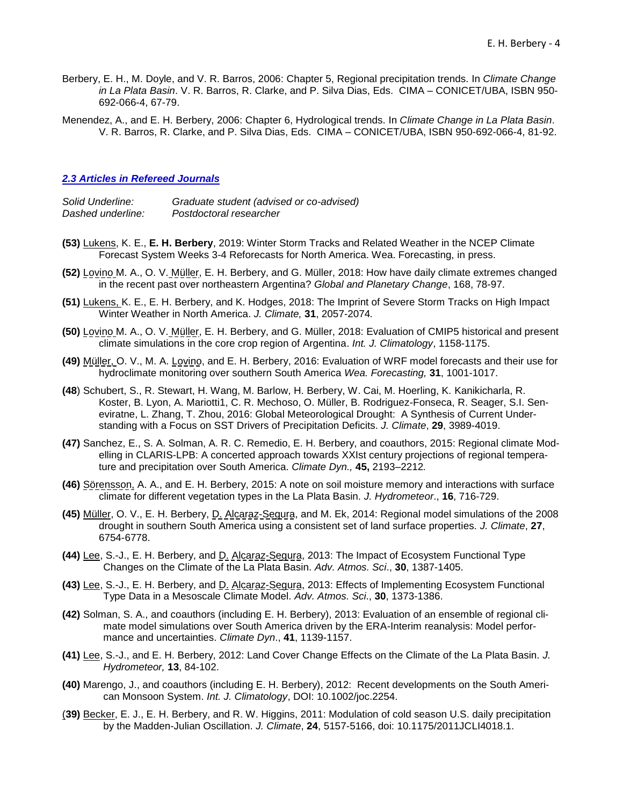- Berbery, E. H., M. Doyle, and V. R. Barros, 2006: Chapter 5, Regional precipitation trends. In *Climate Change in La Plata Basin*. V. R. Barros, R. Clarke, and P. Silva Dias, Eds. CIMA – CONICET/UBA, ISBN 950- 692-066-4, 67-79.
- Menendez, A., and E. H. Berbery, 2006: Chapter 6, Hydrological trends. In *Climate Change in La Plata Basin*. V. R. Barros, R. Clarke, and P. Silva Dias, Eds. CIMA – CONICET/UBA, ISBN 950-692-066-4, 81-92.

## <span id="page-3-0"></span>*2.3 Articles in Refereed Journals*

*Solid Underline: Graduate student (advised or co-advised) Dashed underline: Postdoctoral researcher*

- **(53)** Lukens, K. E., **E. H. Berbery**, 2019: Winter Storm Tracks and Related Weather in the NCEP Climate Forecast System Weeks 3-4 Reforecasts for North America. Wea. Forecasting, in press.
- **(52)** Lovino M. A., O. V. Müller, E. H. Berbery, and G. Müller, 2018: How have daily climate extremes changed in the recent past over northeastern Argentina? *Global and Planetary Change*, 168, 78-97.
- **(51)** Lukens, K. E., E. H. Berbery, and K. Hodges, 2018: The Imprint of Severe Storm Tracks on High Impact Winter Weather in North America. *J. Climate,* **31**, 2057-2074*.*
- **(50)** Lovino M. A., O. V. Müller, E. H. Berbery, and G. Müller, 2018: Evaluation of CMIP5 historical and present climate simulations in the core crop region of Argentina. *Int. J. Climatology*, 1158-1175.
- **(49)** Müller, O. V., M. A. Lovino, and E. H. Berbery, 2016: Evaluation of WRF model forecasts and their use for hydroclimate monitoring over southern South America *Wea. Forecasting,* **31**, 1001-1017.
- **(48**) Schubert, S., R. Stewart, H. Wang, M. Barlow, H. Berbery, W. Cai, M. Hoerling, K. Kanikicharla, R. Koster, B. Lyon, A. Mariotti1, C. R. Mechoso, O. Müller, B. Rodriguez-Fonseca, R. Seager, S.I. Seneviratne, L. Zhang, T. Zhou, 2016: Global Meteorological Drought: A Synthesis of Current Understanding with a Focus on SST Drivers of Precipitation Deficits. *J. Climate*, **29**, 3989-4019.
- **(47)** Sanchez, E., S. A. Solman, A. R. C. Remedio, E. H. Berbery, and coauthors, 2015: Regional climate Modelling in CLARIS-LPB: A concerted approach towards XXIst century projections of regional temperature and precipitation over South America. *Climate Dyn.,* **45,** 2193–2212*.*
- **(46)** Sörensson, A. A., and E. H. Berbery, 2015: A note on soil moisture memory and interactions with surface climate for different vegetation types in the La Plata Basin. *J. Hydrometeor*., **16**, 716-729.
- **(45)** Müller, O. V., E. H. Berbery, D. Alcaraz-Segura, and M. Ek, 2014: Regional model simulations of the 2008 drought in southern South America using a consistent set of land surface properties*. J. Climate*, **27**, 6754-6778.
- **(44)** Lee, S.-J., E. H. Berbery, and D. Alcaraz-Segura, 2013: The Impact of Ecosystem Functional Type Changes on the Climate of the La Plata Basin. *Adv. Atmos. Sci*., **30**, 1387-1405.
- **(43)** Lee, S.-J., E. H. Berbery, and D. Alcaraz-Segura, 2013: Effects of Implementing Ecosystem Functional Type Data in a Mesoscale Climate Model. *Adv. Atmos. Sci*., **30**, 1373-1386.
- **(42)** Solman, S. A., and coauthors (including E. H. Berbery), 2013: Evaluation of an ensemble of regional climate model simulations over South America driven by the ERA-Interim reanalysis: Model performance and uncertainties. *Climate Dyn*., **41**, 1139-1157.
- **(41)** Lee, S.-J., and E. H. Berbery, 2012: Land Cover Change Effects on the Climate of the La Plata Basin. *J. Hydrometeor,* **13**, 84-102.
- **(40)** Marengo, J., and coauthors (including E. H. Berbery), 2012: Recent developments on the South American Monsoon System. *Int. J. Climatology*, DOI: 10.1002/joc.2254.
- (**39)** Becker, E. J., E. H. Berbery, and R. W. Higgins, 2011: Modulation of cold season U.S. daily precipitation by the Madden-Julian Oscillation. *J. Climate*, **24**, 5157-5166, doi: 10.1175/2011JCLI4018.1.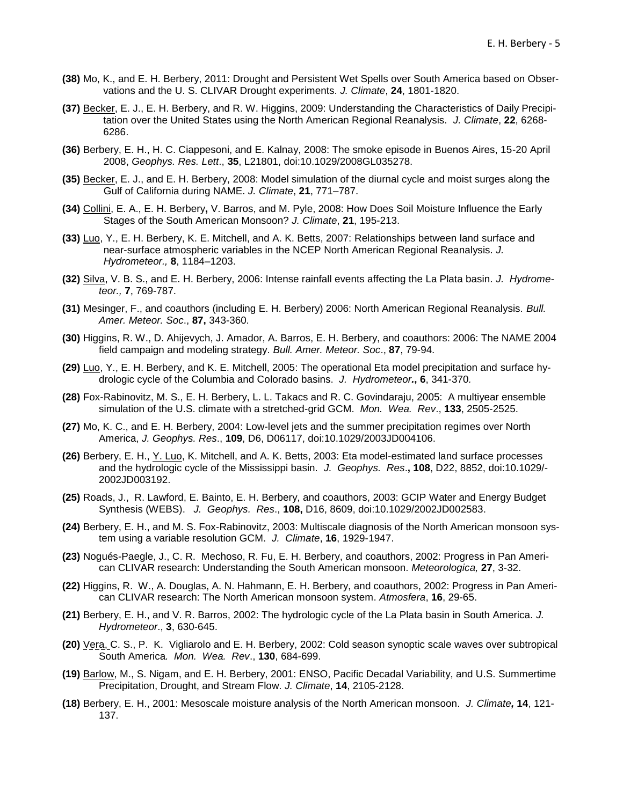- **(38)** Mo, K., and E. H. Berbery, 2011: Drought and Persistent Wet Spells over South America based on Observations and the U. S. CLIVAR Drought experiments. *J. Climate*, **24**, 1801-1820.
- **(37)** Becker, E. J., E. H. Berbery, and R. W. Higgins, 2009: Understanding the Characteristics of Daily Precipitation over the United States using the North American Regional Reanalysis. *J. Climate*, **22**, 6268- 6286.
- **(36)** Berbery, E. H., H. C. Ciappesoni, and E. Kalnay, 2008: The smoke episode in Buenos Aires, 15-20 April 2008, *Geophys. Res. Lett*., **35**, L21801, doi:10.1029/2008GL035278.
- **(35)** Becker, E. J., and E. H. Berbery, 2008: Model simulation of the diurnal cycle and moist surges along the Gulf of California during NAME. *J. Climate*, **21**, 771–787.
- **(34)** Collini, E. A., E. H. Berbery**,** V. Barros, and M. Pyle, 2008: How Does Soil Moisture Influence the Early Stages of the South American Monsoon? *J. Climate*, **21**, 195-213.
- **(33)** Luo, Y., E. H. Berbery, K. E. Mitchell, and A. K. Betts, 2007: Relationships between land surface and near-surface atmospheric variables in the NCEP North American Regional Reanalysis. *J. Hydrometeor.,* **8**, 1184–1203.
- **(32)** Silva, V. B. S., and E. H. Berbery, 2006: Intense rainfall events affecting the La Plata basin. *J. Hydrometeor.,* **7**, 769-787.
- **(31)** Mesinger, F., and coauthors (including E. H. Berbery) 2006: North American Regional Reanalysis. *Bull. Amer. Meteor. Soc*., **87,** 343-360.
- **(30)** Higgins, R. W., D. Ahijevych, J. Amador, A. Barros, E. H. Berbery, and coauthors: 2006: The NAME 2004 field campaign and modeling strategy. *Bull. Amer. Meteor. Soc*., **87**, 79-94.
- **(29)** Luo, Y., E. H. Berbery, and K. E. Mitchell, 2005: The operational Eta model precipitation and surface hydrologic cycle of the Columbia and Colorado basins. *J. Hydrometeor.***, 6**, 341-370*.*
- **(28)** Fox-Rabinovitz, M. S., E. H. Berbery, L. L. Takacs and R. C. Govindaraju, 2005: A multiyear ensemble simulation of the U.S. climate with a stretched-grid GCM. *Mon. Wea. Rev*., **133**, 2505-2525.
- **(27)** Mo, K. C., and E. H. Berbery, 2004: Low-level jets and the summer precipitation regimes over North America, *J. Geophys. Res*., **109**, D6, D06117, doi:10.1029/2003JD004106.
- **(26)** Berbery, E. H., Y. Luo, K. Mitchell, and A. K. Betts, 2003: Eta model-estimated land surface processes and the hydrologic cycle of the Mississippi basin. *J. Geophys. Res*.**, 108**, D22, 8852, doi:10.1029/- 2002JD003192.
- **(25)** Roads, J., R. Lawford, E. Bainto, E. H. Berbery, and coauthors, 2003: GCIP Water and Energy Budget Synthesis (WEBS). *J. Geophys. Res*., **108,** D16, 8609, doi:10.1029/2002JD002583.
- **(24)** Berbery, E. H., and M. S. Fox-Rabinovitz, 2003: Multiscale diagnosis of the North American monsoon system using a variable resolution GCM. *J. Climate*, **16**, 1929-1947.
- **(23)** Nogués-Paegle, J., C. R. Mechoso, R. Fu, E. H. Berbery, and coauthors, 2002: Progress in Pan American CLIVAR research: Understanding the South American monsoon. *Meteorologica,* **27**, 3-32.
- **(22)** Higgins, R. W., A. Douglas, A. N. Hahmann, E. H. Berbery, and coauthors, 2002: Progress in Pan American CLIVAR research: The North American monsoon system. *Atmosfera*, **16**, 29-65.
- **(21)** Berbery, E. H., and V. R. Barros, 2002: The hydrologic cycle of the La Plata basin in South America. *J. Hydrometeor*., **3**, 630-645.
- **(20)** Vera, C. S., P. K. Vigliarolo and E. H. Berbery, 2002: Cold season synoptic scale waves over subtropical South America*. Mon. Wea. Rev*., **130**, 684-699.
- **(19)** Barlow, M., S. Nigam, and E. H. Berbery, 2001: ENSO, Pacific Decadal Variability, and U.S. Summertime Precipitation, Drought, and Stream Flow. *J. Climate*, **14**, 2105-2128.
- **(18)** Berbery, E. H., 2001: Mesoscale moisture analysis of the North American monsoon. *J. Climate,* **14**, 121- 137.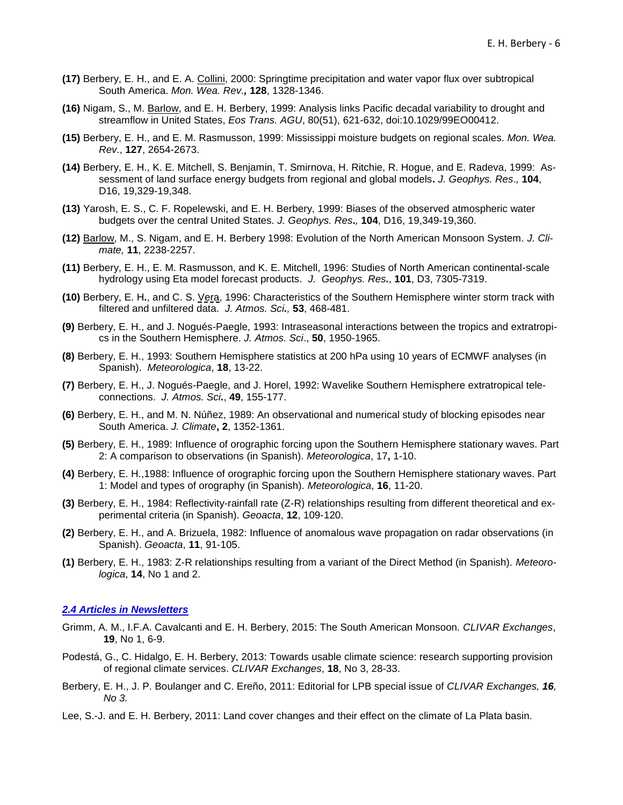- **(17)** Berbery, E. H., and E. A. Collini, 2000: Springtime precipitation and water vapor flux over subtropical South America. *Mon. Wea. Rev.,* **128**, 1328-1346.
- **(16)** Nigam, S., M. Barlow, and E. H. Berbery, 1999: Analysis links Pacific decadal variability to drought and streamflow in United States, *Eos Trans. AGU*, 80(51), 621-632, doi:10.1029/99EO00412.
- **(15)** Berbery, E. H., and E. M. Rasmusson, 1999: Mississippi moisture budgets on regional scales. *Mon. Wea. Rev.*, **127**, 2654-2673.
- **(14)** Berbery, E. H., K. E. Mitchell, S. Benjamin, T. Smirnova, H. Ritchie, R. Hogue, and E. Radeva, 1999: Assessment of land surface energy budgets from regional and global models**.** *J. Geophys. Res*.*,* **104**, D16, 19,329-19,348.
- **(13)** Yarosh, E. S., C. F. Ropelewski, and E. H. Berbery, 1999: Biases of the observed atmospheric water budgets over the central United States. *J. Geophys. Res***.***,* **104**, D16, 19,349-19,360.
- **(12)** Barlow, M., S. Nigam, and E. H. Berbery 1998: Evolution of the North American Monsoon System. *J. Climate,* **11**, 2238-2257.
- **(11)** Berbery, E. H., E. M. Rasmusson, and K. E. Mitchell, 1996: Studies of North American continental-scale hydrology using Eta model forecast products. *J. Geophys. Res.*, **101**, D3, 7305-7319.
- **(10)** Berbery, E. H**.**, and C. S. Vera, 1996: Characteristics of the Southern Hemisphere winter storm track with filtered and unfiltered data. *J. Atmos. Sci.,* **53**, 468-481.
- **(9)** Berbery, E. H., and J. Nogués-Paegle, 1993: Intraseasonal interactions between the tropics and extratropics in the Southern Hemisphere. *J. Atmos. Sci*., **50**, 1950-1965.
- **(8)** Berbery, E. H., 1993: Southern Hemisphere statistics at 200 hPa using 10 years of ECMWF analyses (in Spanish). *Meteorologica*, **18**, 13-22.
- **(7)** Berbery, E. H., J. Nogués-Paegle, and J. Horel, 1992: Wavelike Southern Hemisphere extratropical teleconnections.*J. Atmos. Sci.*, **49**, 155-177.
- **(6)** Berbery, E. H., and M. N. Núñez, 1989: An observational and numerical study of blocking episodes near South America. *J. Climate***, 2**, 1352-1361.
- **(5)** Berbery, E. H., 1989: Influence of orographic forcing upon the Southern Hemisphere stationary waves. Part 2: A comparison to observations (in Spanish). *Meteorologica*, 17**,** 1-10.
- **(4)** Berbery, E. H.,1988: Influence of orographic forcing upon the Southern Hemisphere stationary waves. Part 1: Model and types of orography (in Spanish). *Meteorologica*, **16**, 11-20.
- **(3)** Berbery, E. H., 1984: Reflectivity-rainfall rate (Z-R) relationships resulting from different theoretical and experimental criteria (in Spanish). *Geoacta*, **12**, 109-120.
- **(2)** Berbery, E. H., and A. Brizuela, 1982: Influence of anomalous wave propagation on radar observations (in Spanish). *Geoacta*, **11**, 91-105.
- **(1)** Berbery, E. H., 1983: Z-R relationships resulting from a variant of the Direct Method (in Spanish). *Meteorologica*, **14**, No 1 and 2.

## <span id="page-5-0"></span>*2.4 Articles in Newsletters*

- Grimm, A. M., I.F.A. Cavalcanti and E. H. Berbery, 2015: The South American Monsoon. *CLIVAR Exchanges*, **19**, No 1, 6-9.
- Podestá, G., C. Hidalgo, E. H. Berbery, 2013: Towards usable climate science: research supporting provision of regional climate services. *CLIVAR Exchanges*, **18**, No 3, 28-33.
- Berbery, E. H., J. P. Boulanger and C. Ereño, 2011: Editorial for LPB special issue of *CLIVAR Exchanges, 16, No 3.*
- Lee, S.-J. and E. H. Berbery, 2011: Land cover changes and their effect on the climate of La Plata basin.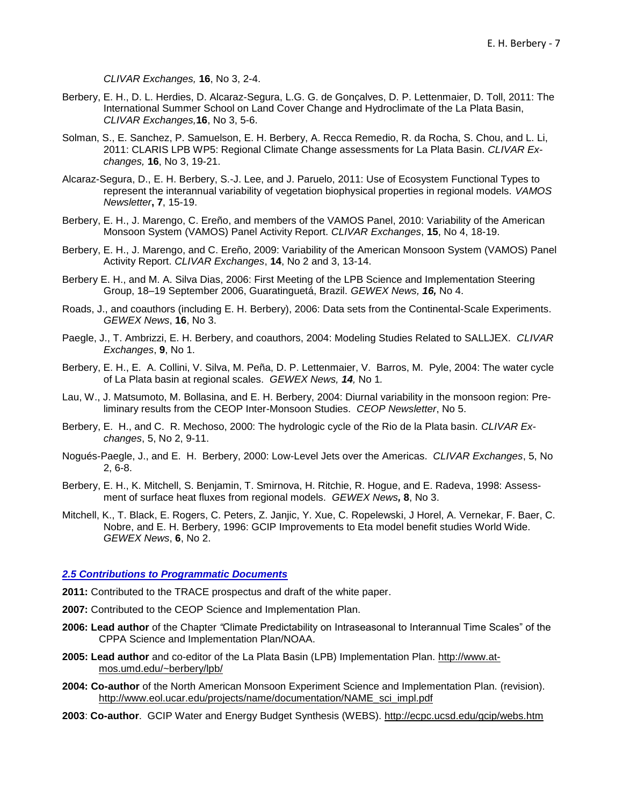*CLIVAR Exchanges,* **16**, No 3, 2-4.

- Berbery, E. H., D. L. Herdies, D. Alcaraz-Segura, L.G. G. de Gonçalves, D. P. Lettenmaier, D. Toll, 2011: The International Summer School on Land Cover Change and Hydroclimate of the La Plata Basin, *CLIVAR Exchanges,***16**, No 3, 5-6.
- Solman, S., E. Sanchez, P. Samuelson, E. H. Berbery, A. Recca Remedio, R. da Rocha, S. Chou, and L. Li, 2011: CLARIS LPB WP5: Regional Climate Change assessments for La Plata Basin. *CLIVAR Exchanges,* **16**, No 3, 19-21.
- Alcaraz-Segura, D., E. H. Berbery, S.-J. Lee, and J. Paruelo, 2011: Use of Ecosystem Functional Types to represent the interannual variability of vegetation biophysical properties in regional models. *VAMOS Newsletter***, 7**, 15-19.
- Berbery, E. H., J. Marengo, C. Ereño, and members of the VAMOS Panel, 2010: Variability of the American Monsoon System (VAMOS) Panel Activity Report. *CLIVAR Exchanges*, **15**, No 4, 18-19.
- Berbery, E. H., J. Marengo, and C. Ereño, 2009: Variability of the American Monsoon System (VAMOS) Panel Activity Report. *CLIVAR Exchanges*, **14**, No 2 and 3, 13-14.
- Berbery E. H., and M. A. Silva Dias, 2006: First Meeting of the LPB Science and Implementation Steering Group, 18–19 September 2006, Guaratinguetá, Brazil. *GEWEX News, 16,* No 4.
- Roads, J., and coauthors (including E. H. Berbery), 2006: Data sets from the Continental-Scale Experiments. *GEWEX News*, **16**, No 3.
- Paegle, J., T. Ambrizzi, E. H. Berbery, and coauthors, 2004: Modeling Studies Related to SALLJEX. *CLIVAR Exchanges*, **9**, No 1.
- Berbery, E. H., E. A. Collini, V. Silva, M. Peña, D. P. Lettenmaier, V. Barros, M. Pyle, 2004: The water cycle of La Plata basin at regional scales. *GEWEX News, 14,* No 1*.*
- Lau, W., J. Matsumoto, M. Bollasina, and E. H. Berbery, 2004: Diurnal variability in the monsoon region: Preliminary results from the CEOP Inter-Monsoon Studies. *CEOP Newsletter*, No 5.
- Berbery, E. H., and C. R. Mechoso, 2000: The hydrologic cycle of the Rio de la Plata basin. *CLIVAR Exchanges*, 5, No 2, 9-11.
- Nogués-Paegle, J., and E. H. Berbery, 2000: Low-Level Jets over the Americas. *CLIVAR Exchanges*, 5, No 2, 6-8.
- Berbery, E. H., K. Mitchell, S. Benjamin, T. Smirnova, H. Ritchie, R. Hogue, and E. Radeva, 1998: Assessment of surface heat fluxes from regional models. *GEWEX News,* **8**, No 3.
- Mitchell, K., T. Black, E. Rogers, C. Peters, Z. Janjic, Y. Xue, C. Ropelewski, J Horel, A. Vernekar, F. Baer, C. Nobre, and E. H. Berbery, 1996: GCIP Improvements to Eta model benefit studies World Wide. *GEWEX News*, **6**, No 2.

## <span id="page-6-0"></span>*2.5 Contributions to Programmatic Documents*

- **2011:** Contributed to the TRACE prospectus and draft of the white paper.
- **2007:** Contributed to the CEOP Science and Implementation Plan.
- **2006: Lead author** of the Chapter *"*Climate Predictability on Intraseasonal to Interannual Time Scales" of the CPPA Science and Implementation Plan/NOAA.
- **2005: Lead author** and co-editor of the La Plata Basin (LPB) Implementation Plan. [http://www.at](http://www.atmos.umd.edu/~berbery/lpb/)[mos.umd.edu/~berbery/lpb/](http://www.atmos.umd.edu/~berbery/lpb/)
- **2004: Co-author** of the North American Monsoon Experiment Science and Implementation Plan. (revision). http://www.eol.ucar.edu/projects/name/documentation/NAME\_sci\_impl.pdf
- **2003**: **Co-author**. GCIP Water and Energy Budget Synthesis (WEBS). http://ecpc.ucsd.edu/gcip/webs.htm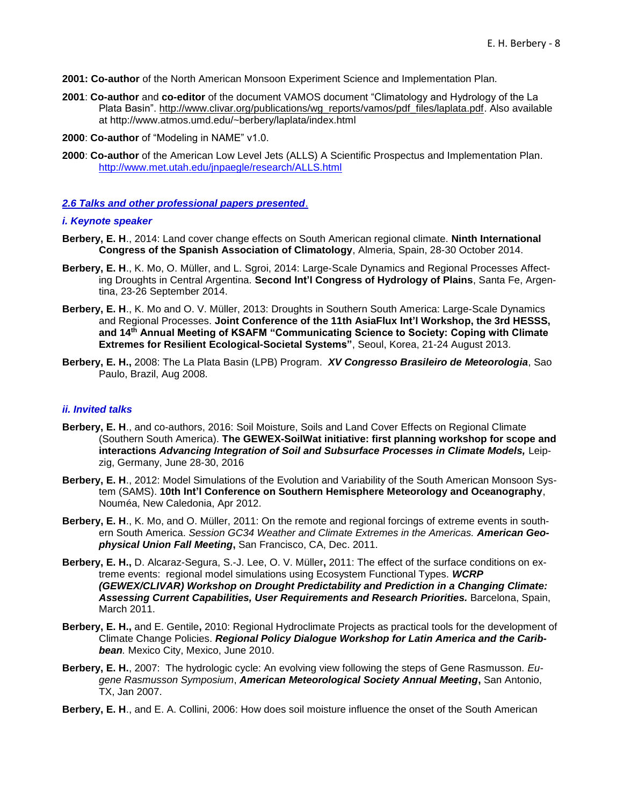- **2001: Co-author** of the North American Monsoon Experiment Science and Implementation Plan.
- **2001**: **Co-author** and **co-editor** of the document VAMOS document "Climatology and Hydrology of the La Plata Basin". [http://www.clivar.org/publications/wg\\_reports/vamos/pdf\\_files/laplata.pdf.](http://www.clivar.org/publications/wg_reports/vamos/pdf_files/laplata.pdf) Also available at http://www.atmos.umd.edu/~berbery/laplata/index.html
- **2000**: **Co-author** of "Modeling in NAME" v1.0.
- **2000**: **Co-author** of the American Low Level Jets (ALLS) A Scientific Prospectus and Implementation Plan. <http://www.met.utah.edu/jnpaegle/research/ALLS.html>

## <span id="page-7-0"></span>*2.6 Talks and other professional papers presented*.

#### *i. Keynote speaker*

- **Berbery, E. H**., 2014: Land cover change effects on South American regional climate. **Ninth International Congress of the Spanish Association of Climatology**, Almeria, Spain, 28-30 October 2014.
- **Berbery, E. H**., K. Mo, O. Müller, and L. Sgroi, 2014: Large-Scale Dynamics and Regional Processes Affecting Droughts in Central Argentina. **Second Int'l Congress of Hydrology of Plains**, Santa Fe, Argentina, 23-26 September 2014.
- **Berbery, E. H**., K. Mo and O. V. Müller, 2013: Droughts in Southern South America: Large-Scale Dynamics and Regional Processes. **Joint Conference of the 11th AsiaFlux Int'l Workshop, the 3rd HESSS, and 14th Annual Meeting of KSAFM "Communicating Science to Society: Coping with Climate Extremes for Resilient Ecological-Societal Systems"**, Seoul, Korea, 21-24 August 2013.
- **Berbery, E. H.,** 2008: The La Plata Basin (LPB) Program. *XV Congresso Brasileiro de Meteorologia*, Sao Paulo, Brazil, Aug 2008.

## *ii. Invited talks*

- **Berbery, E. H**., and co-authors, 2016: Soil Moisture, Soils and Land Cover Effects on Regional Climate (Southern South America). **The GEWEX-SoilWat initiative: first planning workshop for scope and interactions** *Advancing Integration of Soil and Subsurface Processes in Climate Models,* Leipzig, Germany, June 28-30, 2016
- **Berbery, E. H**., 2012: Model Simulations of the Evolution and Variability of the South American Monsoon System (SAMS). **10th Int'l Conference on Southern Hemisphere Meteorology and Oceanography**, Nouméa, New Caledonia, Apr 2012.
- **Berbery, E. H**., K. Mo, and O. Müller, 2011: On the remote and regional forcings of extreme events in southern South America. *Session GC34 Weather and Climate Extremes in the Americas. American Geophysical Union Fall Meeting***,** San Francisco, CA, Dec. 2011.
- **Berbery, E. H.,** D. Alcaraz-Segura, S.-J. Lee, O. V. Müller**,** 2011: The effect of the surface conditions on extreme events: regional model simulations using Ecosystem Functional Types. *WCRP (GEWEX/CLIVAR) Workshop on Drought Predictability and Prediction in a Changing Climate: Assessing Current Capabilities, User Requirements and Research Priorities.* Barcelona, Spain, March 2011.
- **Berbery, E. H.,** and E. Gentile**,** 2010: Regional Hydroclimate Projects as practical tools for the development of Climate Change Policies. *Regional Policy Dialogue Workshop for Latin America and the Caribbean.* Mexico City, Mexico, June 2010.
- **Berbery, E. H.**, 2007: The hydrologic cycle: An evolving view following the steps of Gene Rasmusson. *Eugene Rasmusson Symposium*, *American Meteorological Society Annual Meeting***,** San Antonio, TX, Jan 2007.
- **Berbery, E. H**., and E. A. Collini, 2006: How does soil moisture influence the onset of the South American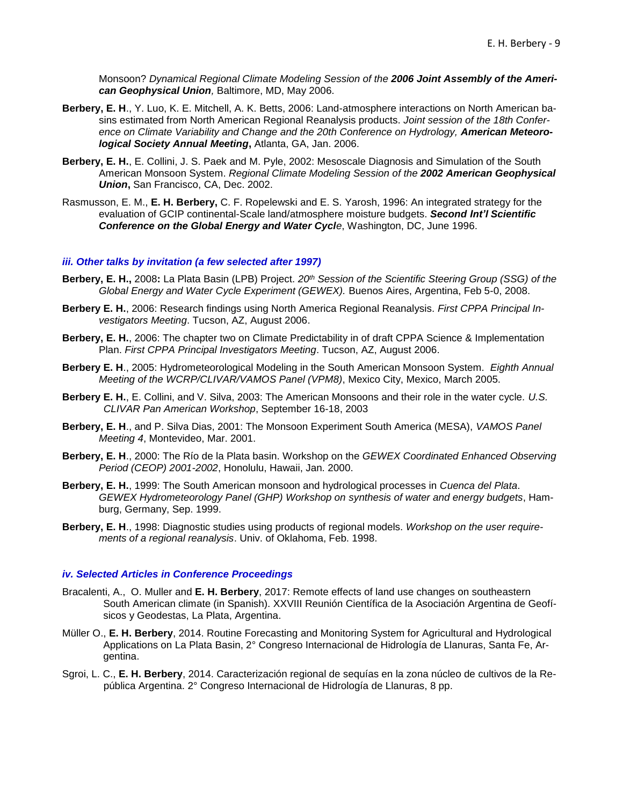Monsoon? *Dynamical Regional Climate Modeling Session of the 2006 Joint Assembly of the American Geophysical Union,* Baltimore, MD, May 2006.

- **Berbery, E. H**., Y. Luo, K. E. Mitchell, A. K. Betts, 2006: Land-atmosphere interactions on North American basins estimated from North American Regional Reanalysis products. *Joint session of the 18th Confer*ence on Climate Variability and Change and the 20th Conference on Hydrology, **American Meteoro***logical Society Annual Meeting***,** Atlanta, GA, Jan. 2006.
- **Berbery, E. H.**, E. Collini, J. S. Paek and M. Pyle, 2002: Mesoscale Diagnosis and Simulation of the South American Monsoon System. *Regional Climate Modeling Session of the 2002 American Geophysical Union***,** San Francisco, CA, Dec. 2002.
- Rasmusson, E. M., **E. H. Berbery,** C. F. Ropelewski and E. S. Yarosh, 1996: An integrated strategy for the evaluation of GCIP continental-Scale land/atmosphere moisture budgets. *Second Int'l Scientific Conference on the Global Energy and Water Cycle*, Washington, DC, June 1996.

#### *iii. Other talks by invitation (a few selected after 1997)*

- **Berbery, E. H.,** 2008**:** La Plata Basin (LPB) Project. *20th Session of the Scientific Steering Group (SSG) of the Global Energy and Water Cycle Experiment (GEWEX).* Buenos Aires, Argentina, Feb 5-0, 2008.
- **Berbery E. H.**, 2006: Research findings using North America Regional Reanalysis. *First CPPA Principal Investigators Meeting*. Tucson, AZ, August 2006.
- **Berbery, E. H.**, 2006: The chapter two on Climate Predictability in of draft CPPA Science & Implementation Plan. *First CPPA Principal Investigators Meeting*. Tucson, AZ, August 2006.
- **Berbery E. H**., 2005: Hydrometeorological Modeling in the South American Monsoon System. *Eighth Annual Meeting of the WCRP/CLIVAR/VAMOS Panel (VPM8)*, Mexico City, Mexico, March 2005.
- **Berbery E. H.**, E. Collini, and V. Silva, 2003: The American Monsoons and their role in the water cycle*. U.S. CLIVAR Pan American Workshop*, September 16-18, 2003
- **Berbery, E. H**., and P. Silva Dias, 2001: The Monsoon Experiment South America (MESA), *VAMOS Panel Meeting 4*, Montevideo, Mar. 2001.
- **Berbery, E. H**., 2000: The Río de la Plata basin. Workshop on the *GEWEX Coordinated Enhanced Observing Period (CEOP) 2001-2002*, Honolulu, Hawaii, Jan. 2000.
- **Berbery, E. H.**, 1999: The South American monsoon and hydrological processes in *Cuenca del Plata*. *GEWEX Hydrometeorology Panel (GHP) Workshop on synthesis of water and energy budgets*, Hamburg, Germany, Sep. 1999.
- **Berbery, E. H**., 1998: Diagnostic studies using products of regional models. *Workshop on the user requirements of a regional reanalysis*. Univ. of Oklahoma, Feb. 1998.

#### *iv. Selected Articles in Conference Proceedings*

- Bracalenti, A., O. Muller and **E. H. Berbery**, 2017: Remote effects of land use changes on southeastern South American climate (in Spanish). XXVIII Reunión Científica de la Asociación Argentina de Geofísicos y Geodestas, La Plata, Argentina.
- Müller O., **E. H. Berbery**, 2014. Routine Forecasting and Monitoring System for Agricultural and Hydrological Applications on La Plata Basin, 2° Congreso Internacional de Hidrología de Llanuras, Santa Fe, Argentina.
- Sgroi, L. C., **E. H. Berbery**, 2014. Caracterización regional de sequías en la zona núcleo de cultivos de la República Argentina. 2° Congreso Internacional de Hidrología de Llanuras, 8 pp.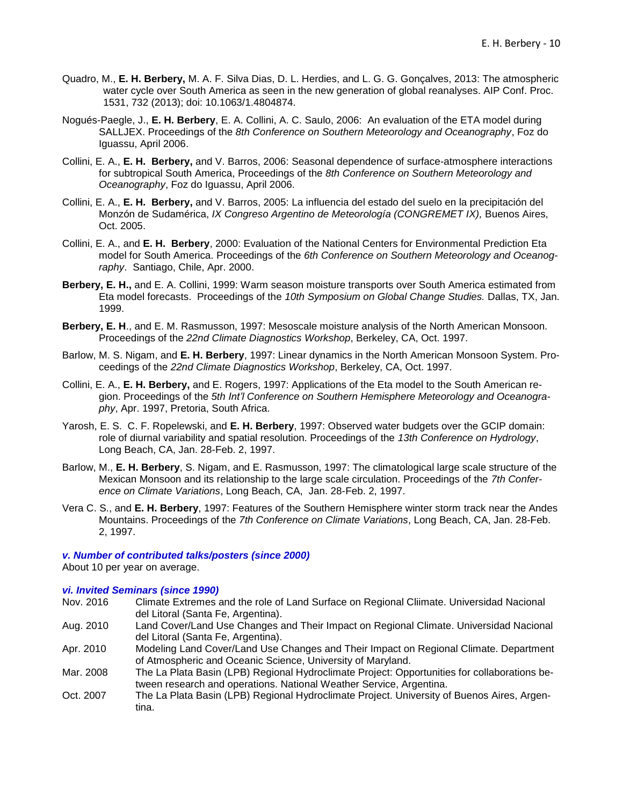- Quadro, M., **E. H. Berbery,** M. A. F. Silva Dias, D. L. Herdies, and L. G. G. Gonçalves, 2013: The atmospheric water cycle over South America as seen in the new generation of global reanalyses. AIP Conf. Proc. 1531, 732 (2013); doi: 10.1063/1.4804874.
- Nogués-Paegle, J., **E. H. Berbery**, E. A. Collini, A. C. Saulo, 2006: An evaluation of the ETA model during SALLJEX. Proceedings of the *8th Conference on Southern Meteorology and Oceanography*, Foz do Iguassu, April 2006.
- Collini, E. A., **E. H. Berbery,** and V. Barros, 2006: Seasonal dependence of surface-atmosphere interactions for subtropical South America, Proceedings of the *8th Conference on Southern Meteorology and Oceanography*, Foz do Iguassu, April 2006.
- Collini, E. A., **E. H. Berbery,** and V. Barros, 2005: La influencia del estado del suelo en la precipitación del Monzón de Sudamérica, *IX Congreso Argentino de Meteorología (CONGREMET IX),* Buenos Aires, Oct. 2005.
- Collini, E. A., and **E. H. Berbery**, 2000: Evaluation of the National Centers for Environmental Prediction Eta model for South America. Proceedings of the *6th Conference on Southern Meteorology and Oceanography*. Santiago, Chile, Apr. 2000.
- **Berbery, E. H.,** and E. A. Collini, 1999: Warm season moisture transports over South America estimated from Eta model forecasts. Proceedings of the *10th Symposium on Global Change Studies.* Dallas, TX, Jan. 1999.
- **Berbery, E. H**., and E. M. Rasmusson, 1997: Mesoscale moisture analysis of the North American Monsoon. Proceedings of the *22nd Climate Diagnostics Workshop*, Berkeley, CA, Oct. 1997.
- Barlow, M. S. Nigam, and **E. H. Berbery**, 1997: Linear dynamics in the North American Monsoon System. Proceedings of the *22nd Climate Diagnostics Workshop*, Berkeley, CA, Oct. 1997.
- Collini, E. A., **E. H. Berbery,** and E. Rogers, 1997: Applications of the Eta model to the South American region. Proceedings of the *5th Int'l Conference on Southern Hemisphere Meteorology and Oceanography*, Apr. 1997, Pretoria, South Africa.
- Yarosh, E. S. C. F. Ropelewski, and **E. H. Berbery**, 1997: Observed water budgets over the GCIP domain: role of diurnal variability and spatial resolution. Proceedings of the *13th Conference on Hydrology*, Long Beach, CA, Jan. 28-Feb. 2, 1997.
- Barlow, M., **E. H. Berbery**, S. Nigam, and E. Rasmusson, 1997: The climatological large scale structure of the Mexican Monsoon and its relationship to the large scale circulation. Proceedings of the *7th Conference on Climate Variations*, Long Beach, CA, Jan. 28-Feb. 2, 1997.
- Vera C. S., and **E. H. Berbery**, 1997: Features of the Southern Hemisphere winter storm track near the Andes Mountains. Proceedings of the *7th Conference on Climate Variations*, Long Beach, CA, Jan. 28-Feb. 2, 1997.

#### *v. Number of contributed talks/posters (since 2000)*

About 10 per year on average.

#### *vi. Invited Seminars (since 1990)*

- Nov. 2016 Climate Extremes and the role of Land Surface on Regional Cliimate. Universidad Nacional del Litoral (Santa Fe, Argentina).
- Aug. 2010 Land Cover/Land Use Changes and Their Impact on Regional Climate. Universidad Nacional del Litoral (Santa Fe, Argentina).
- Apr. 2010 Modeling Land Cover/Land Use Changes and Their Impact on Regional Climate. Department of Atmospheric and Oceanic Science, University of Maryland.
- Mar. 2008 The La Plata Basin (LPB) Regional Hydroclimate Project: Opportunities for collaborations between research and operations. National Weather Service, Argentina.
- Oct. 2007 The La Plata Basin (LPB) Regional Hydroclimate Project. University of Buenos Aires, Argentina.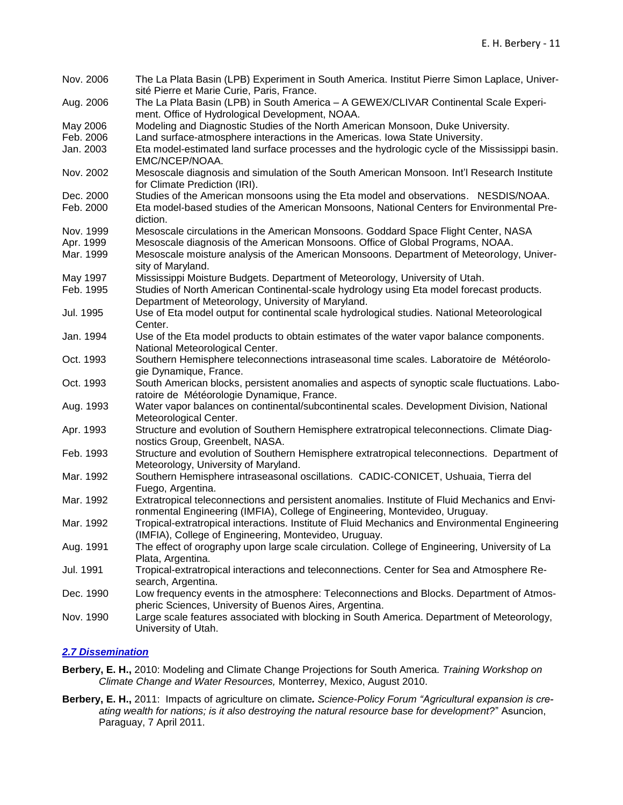| Nov. 2006             | The La Plata Basin (LPB) Experiment in South America. Institut Pierre Simon Laplace, Univer-<br>sité Pierre et Marie Curie, Paris, France.                      |
|-----------------------|-----------------------------------------------------------------------------------------------------------------------------------------------------------------|
| Aug. 2006             | The La Plata Basin (LPB) in South America - A GEWEX/CLIVAR Continental Scale Experi-<br>ment. Office of Hydrological Development, NOAA.                         |
|                       |                                                                                                                                                                 |
| May 2006<br>Feb. 2006 | Modeling and Diagnostic Studies of the North American Monsoon, Duke University.<br>Land surface-atmosphere interactions in the Americas. Iowa State University. |
|                       |                                                                                                                                                                 |
| Jan. 2003             | Eta model-estimated land surface processes and the hydrologic cycle of the Mississippi basin.<br>EMC/NCEP/NOAA.                                                 |
| Nov. 2002             | Mesoscale diagnosis and simulation of the South American Monsoon. Int'l Research Institute<br>for Climate Prediction (IRI).                                     |
| Dec. 2000             | Studies of the American monsoons using the Eta model and observations. NESDIS/NOAA.                                                                             |
| Feb. 2000             | Eta model-based studies of the American Monsoons, National Centers for Environmental Pre-<br>diction.                                                           |
| Nov. 1999             | Mesoscale circulations in the American Monsoons. Goddard Space Flight Center, NASA                                                                              |
| Apr. 1999             | Mesoscale diagnosis of the American Monsoons. Office of Global Programs, NOAA.                                                                                  |
| Mar. 1999             | Mesoscale moisture analysis of the American Monsoons. Department of Meteorology, Univer-                                                                        |
|                       | sity of Maryland.                                                                                                                                               |
| May 1997              | Mississippi Moisture Budgets. Department of Meteorology, University of Utah.                                                                                    |
| Feb. 1995             | Studies of North American Continental-scale hydrology using Eta model forecast products.                                                                        |
|                       | Department of Meteorology, University of Maryland.                                                                                                              |
| Jul. 1995             | Use of Eta model output for continental scale hydrological studies. National Meteorological                                                                     |
|                       | Center.                                                                                                                                                         |
| Jan. 1994             | Use of the Eta model products to obtain estimates of the water vapor balance components.<br>National Meteorological Center.                                     |
| Oct. 1993             | Southern Hemisphere teleconnections intraseasonal time scales. Laboratoire de Météorolo-<br>gie Dynamique, France.                                              |
| Oct. 1993             | South American blocks, persistent anomalies and aspects of synoptic scale fluctuations. Labo-                                                                   |
|                       | ratoire de Météorologie Dynamique, France.                                                                                                                      |
| Aug. 1993             | Water vapor balances on continental/subcontinental scales. Development Division, National<br>Meteorological Center.                                             |
| Apr. 1993             | Structure and evolution of Southern Hemisphere extratropical teleconnections. Climate Diag-                                                                     |
|                       | nostics Group, Greenbelt, NASA.                                                                                                                                 |
| Feb. 1993             | Structure and evolution of Southern Hemisphere extratropical teleconnections. Department of                                                                     |
|                       | Meteorology, University of Maryland.                                                                                                                            |
| Mar. 1992             | Southern Hemisphere intraseasonal oscillations. CADIC-CONICET, Ushuaia, Tierra del                                                                              |
|                       | Fuego, Argentina.                                                                                                                                               |
| Mar. 1992             | Extratropical teleconnections and persistent anomalies. Institute of Fluid Mechanics and Envi-                                                                  |
|                       | ronmental Engineering (IMFIA), College of Engineering, Montevideo, Uruguay.                                                                                     |
| Mar. 1992             | Tropical-extratropical interactions. Institute of Fluid Mechanics and Environmental Engineering                                                                 |
|                       | (IMFIA), College of Engineering, Montevideo, Uruguay.                                                                                                           |
| Aug. 1991             | The effect of orography upon large scale circulation. College of Engineering, University of La<br>Plata, Argentina.                                             |
| Jul. 1991             | Tropical-extratropical interactions and teleconnections. Center for Sea and Atmosphere Re-                                                                      |
|                       | search, Argentina.                                                                                                                                              |
| Dec. 1990             | Low frequency events in the atmosphere: Teleconnections and Blocks. Department of Atmos-                                                                        |
|                       | pheric Sciences, University of Buenos Aires, Argentina.                                                                                                         |
| Nov. 1990             | Large scale features associated with blocking in South America. Department of Meteorology,                                                                      |
|                       | University of Utah.                                                                                                                                             |

# <span id="page-10-0"></span>*2.7 Dissemination*

- **Berbery, E. H.,** 2010: Modeling and Climate Change Projections for South America*. Training Workshop on Climate Change and Water Resources,* Monterrey, Mexico, August 2010.
- **Berbery, E. H.,** 2011: Impacts of agriculture on climate*. Science-Policy Forum "Agricultural expansion is creating wealth for nations; is it also destroying the natural resource base for development?*" Asuncion, Paraguay, 7 April 2011.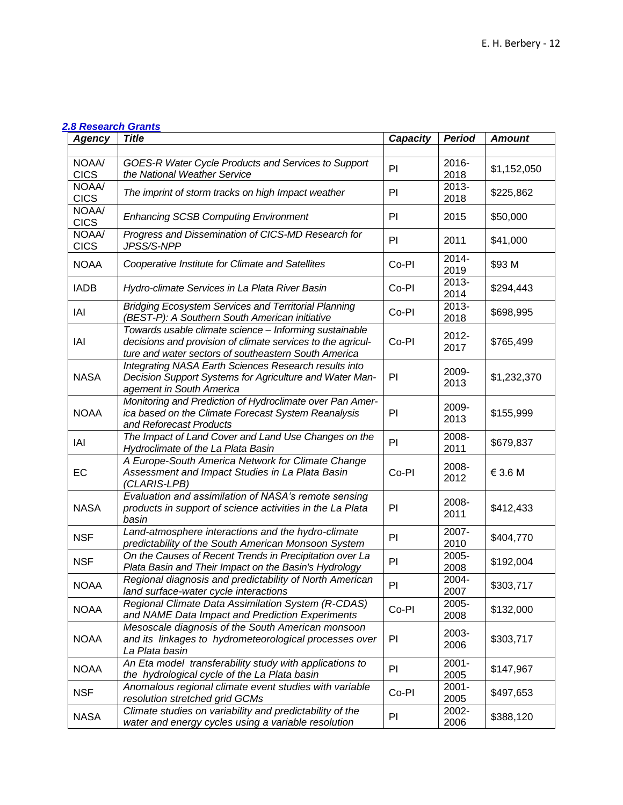# <span id="page-11-0"></span>*2.8 Research Grants*

| <b>Agency</b>        | <b>Title</b>                                                                                                                                                                  | <b>Capacity</b> | <b>Period</b>    | <b>Amount</b> |
|----------------------|-------------------------------------------------------------------------------------------------------------------------------------------------------------------------------|-----------------|------------------|---------------|
|                      |                                                                                                                                                                               |                 |                  |               |
| NOAA/<br><b>CICS</b> | GOES-R Water Cycle Products and Services to Support<br>the National Weather Service                                                                                           | PI              | 2016-<br>2018    | \$1,152,050   |
| NOAA/<br><b>CICS</b> | The imprint of storm tracks on high Impact weather                                                                                                                            | PI              | 2013-<br>2018    | \$225,862     |
| NOAA/<br><b>CICS</b> | <b>Enhancing SCSB Computing Environment</b>                                                                                                                                   | PI              | 2015             | \$50,000      |
| NOAA/<br><b>CICS</b> | Progress and Dissemination of CICS-MD Research for<br>JPSS/S-NPP                                                                                                              | PI              | 2011             | \$41,000      |
| <b>NOAA</b>          | Cooperative Institute for Climate and Satellites                                                                                                                              | Co-PI           | 2014-<br>2019    | \$93 M        |
| <b>IADB</b>          | Hydro-climate Services in La Plata River Basin                                                                                                                                | Co-PI           | 2013-<br>2014    | \$294,443     |
| IAI                  | <b>Bridging Ecosystem Services and Territorial Planning</b><br>(BEST-P): A Southern South American initiative                                                                 | Co-PI           | 2013-<br>2018    | \$698,995     |
| IAI                  | Towards usable climate science - Informing sustainable<br>decisions and provision of climate services to the agricul-<br>ture and water sectors of southeastern South America | Co-PI           | 2012-<br>2017    | \$765,499     |
| <b>NASA</b>          | Integrating NASA Earth Sciences Research results into<br>Decision Support Systems for Agriculture and Water Man-<br>agement in South America                                  | PI              | 2009-<br>2013    | \$1,232,370   |
| <b>NOAA</b>          | Monitoring and Prediction of Hydroclimate over Pan Amer-<br>ica based on the Climate Forecast System Reanalysis<br>and Reforecast Products                                    | PI              | 2009-<br>2013    | \$155,999     |
| IAI                  | The Impact of Land Cover and Land Use Changes on the<br>Hydroclimate of the La Plata Basin                                                                                    | PI              | 2008-<br>2011    | \$679,837     |
| EC                   | A Europe-South America Network for Climate Change<br>Assessment and Impact Studies in La Plata Basin<br>(CLARIS-LPB)                                                          | Co-PI           | 2008-<br>2012    | € 3.6 M       |
| <b>NASA</b>          | Evaluation and assimilation of NASA's remote sensing<br>products in support of science activities in the La Plata<br>basin                                                    | PI              | 2008-<br>2011    | \$412,433     |
| <b>NSF</b>           | Land-atmosphere interactions and the hydro-climate<br>predictability of the South American Monsoon System                                                                     | PI              | 2007-<br>2010    | \$404,770     |
| <b>NSF</b>           | On the Causes of Recent Trends in Precipitation over La<br>Plata Basin and Their Impact on the Basin's Hydrology                                                              | PI              | 2005-<br>2008    | \$192,004     |
| <b>NOAA</b>          | Regional diagnosis and predictability of North American<br>land surface-water cycle interactions                                                                              | PI              | 2004-<br>2007    | \$303,717     |
| <b>NOAA</b>          | Regional Climate Data Assimilation System (R-CDAS)<br>and NAME Data Impact and Prediction Experiments                                                                         | Co-PI           | 2005-<br>2008    | \$132,000     |
| <b>NOAA</b>          | Mesoscale diagnosis of the South American monsoon<br>and its linkages to hydrometeorological processes over<br>La Plata basin                                                 | PI              | 2003-<br>2006    | \$303,717     |
| <b>NOAA</b>          | An Eta model transferability study with applications to<br>the hydrological cycle of the La Plata basin                                                                       | PI              | $2001 -$<br>2005 | \$147,967     |
| <b>NSF</b>           | Anomalous regional climate event studies with variable<br>resolution stretched grid GCMs                                                                                      | Co-PI           | $2001 -$<br>2005 | \$497,653     |
| <b>NASA</b>          | Climate studies on variability and predictability of the<br>water and energy cycles using a variable resolution                                                               | PI              | 2002-<br>2006    | \$388,120     |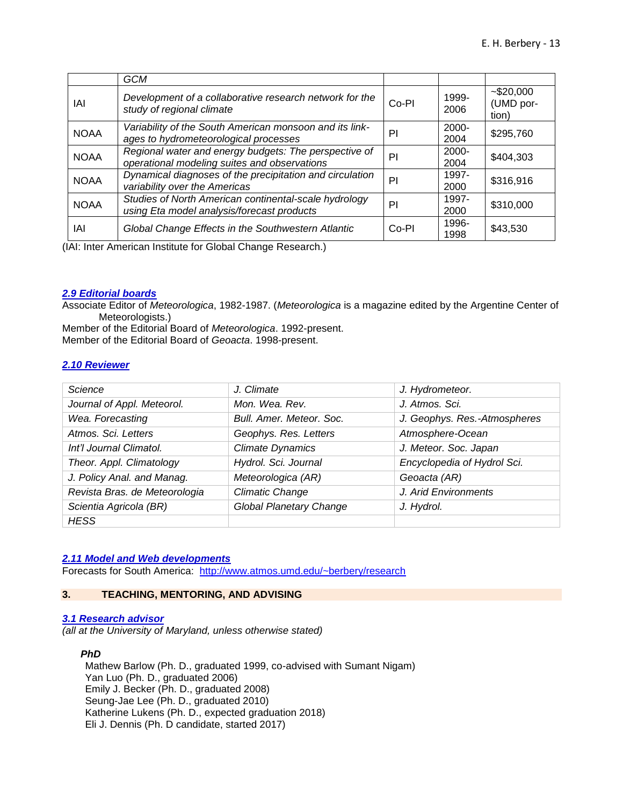|             | GCM                                                                                                   |       |                  |                                    |
|-------------|-------------------------------------------------------------------------------------------------------|-------|------------------|------------------------------------|
| IAI         | Development of a collaborative research network for the<br>study of regional climate                  | Co-PI | 1999-<br>2006    | $-$ \$20,000<br>(UMD por-<br>tion) |
| <b>NOAA</b> | Variability of the South American monsoon and its link-<br>ages to hydrometeorological processes      | PI    | 2000-<br>2004    | \$295,760                          |
| <b>NOAA</b> | Regional water and energy budgets: The perspective of<br>operational modeling suites and observations | PI    | $2000 -$<br>2004 | \$404,303                          |
| <b>NOAA</b> | Dynamical diagnoses of the precipitation and circulation<br>variability over the Americas             | PI    | 1997-<br>2000    | \$316,916                          |
| <b>NOAA</b> | Studies of North American continental-scale hydrology<br>using Eta model analysis/forecast products   | PI    | 1997-<br>2000    | \$310,000                          |
| IAI         | Global Change Effects in the Southwestern Atlantic                                                    | Co-PI | 1996-<br>1998    | \$43,530                           |

(IAI: Inter American Institute for Global Change Research.)

#### <span id="page-12-0"></span>*2.9 Editorial boards*

Associate Editor of *Meteorologica*, 1982-1987. (*Meteorologica* is a magazine edited by the Argentine Center of Meteorologists.)

Member of the Editorial Board of *Meteorologica*. 1992-present. Member of the Editorial Board of *Geoacta*. 1998-present.

#### <span id="page-12-1"></span>*2.10 Reviewer*

| Science                       | J. Climate                     | J. Hydrometeor.              |
|-------------------------------|--------------------------------|------------------------------|
| Journal of Appl. Meteorol.    | Mon. Wea. Rev.                 | J. Atmos. Sci.               |
| Wea. Forecasting              | Bull, Amer, Meteor, Soc.       | J. Geophys. Res.-Atmospheres |
| Atmos. Sci. Letters           | Geophys. Res. Letters          | Atmosphere-Ocean             |
| Int'l Journal Climatol.       | <b>Climate Dynamics</b>        | J. Meteor. Soc. Japan        |
| Theor. Appl. Climatology      | Hydrol. Sci. Journal           | Encyclopedia of Hydrol Sci.  |
| J. Policy Anal. and Manag.    | Meteorologica (AR)             | Geoacta (AR)                 |
| Revista Bras. de Meteorologia | <b>Climatic Change</b>         | J. Arid Environments         |
| Scientia Agricola (BR)        | <b>Global Planetary Change</b> | J. Hydrol.                   |
| <b>HESS</b>                   |                                |                              |

## <span id="page-12-2"></span>*2.11 Model and Web developments*

Forecasts for South America: <http://www.atmos.umd.edu/~berbery/research>

## <span id="page-12-3"></span>**3. TEACHING, MENTORING, AND ADVISING**

#### <span id="page-12-4"></span>*3.1 Research advisor*

*(all at the University of Maryland, unless otherwise stated)*

### *PhD*

Mathew Barlow (Ph. D., graduated 1999, co-advised with Sumant Nigam) Yan Luo (Ph. D., graduated 2006) Emily J. Becker (Ph. D., graduated 2008) Seung-Jae Lee (Ph. D., graduated 2010) Katherine Lukens (Ph. D., expected graduation 2018) Eli J. Dennis (Ph. D candidate, started 2017)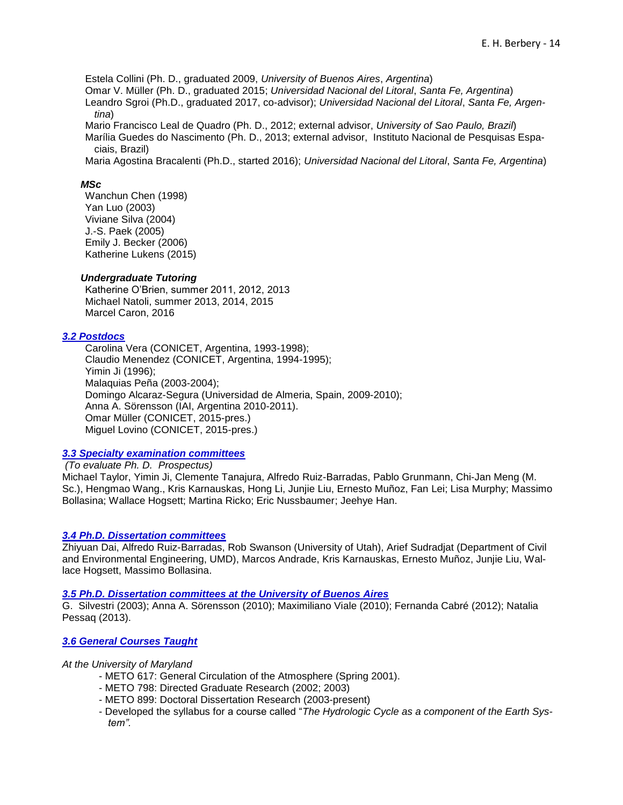Estela Collini (Ph. D., graduated 2009, *University of Buenos Aires*, *Argentina*)

Omar V. Müller (Ph. D., graduated 2015; *Universidad Nacional del Litoral*, *Santa Fe, Argentina*)

Leandro Sgroi (Ph.D., graduated 2017, co-advisor); *Universidad Nacional del Litoral*, *Santa Fe, Argentina*)

Mario Francisco Leal de Quadro (Ph. D., 2012; external advisor, *University of Sao Paulo, Brazil*) Marília Guedes do Nascimento (Ph. D., 2013; external advisor, Instituto Nacional de Pesquisas Espaciais, Brazil)

Maria Agostina Bracalenti (Ph.D., started 2016); *Universidad Nacional del Litoral*, *Santa Fe, Argentina*)

## *MSc*

Wanchun Chen (1998) Yan Luo (2003) Viviane Silva (2004) J.-S. Paek (2005) Emily J. Becker (2006) Katherine Lukens (2015)

## *Undergraduate Tutoring*

Katherine O'Brien, summer 2011, 2012, 2013 Michael Natoli, summer 2013, 2014, 2015 Marcel Caron, 2016

## <span id="page-13-0"></span>*3.2 Postdocs*

Carolina Vera (CONICET, Argentina, 1993-1998); Claudio Menendez (CONICET, Argentina, 1994-1995); Yimin Ji (1996); Malaquias Peña (2003-2004); Domingo Alcaraz-Segura (Universidad de Almeria, Spain, 2009-2010); Anna A. Sörensson (IAI, Argentina 2010-2011). Omar Müller (CONICET, 2015-pres.) Miguel Lovino (CONICET, 2015-pres.)

# <span id="page-13-1"></span>*3.3 Specialty examination committees*

*(To evaluate Ph. D. Prospectus)* Michael Taylor, Yimin Ji, Clemente Tanajura, Alfredo Ruiz-Barradas, Pablo Grunmann, Chi-Jan Meng (M. Sc.), Hengmao Wang., Kris Karnauskas, Hong Li, Junjie Liu, Ernesto Muñoz, Fan Lei; Lisa Murphy; Massimo Bollasina; Wallace Hogsett; Martina Ricko; Eric Nussbaumer; Jeehye Han.

## <span id="page-13-2"></span>*3.4 Ph.D. Dissertation committees*

Zhiyuan Dai, Alfredo Ruiz-Barradas, Rob Swanson (University of Utah), Arief Sudradjat (Department of Civil and Environmental Engineering, UMD), Marcos Andrade, Kris Karnauskas, Ernesto Muñoz, Junjie Liu, Wallace Hogsett, Massimo Bollasina.

## <span id="page-13-3"></span>*3.5 Ph.D. Dissertation committees at the University of Buenos Aires*

G. Silvestri (2003); Anna A. Sörensson (2010); Maximiliano Viale (2010); Fernanda Cabré (2012); Natalia Pessaq (2013).

## <span id="page-13-4"></span>*3.6 General Courses Taught*

## *At the University of Maryland*

- METO 617: General Circulation of the Atmosphere (Spring 2001).
- METO 798: Directed Graduate Research (2002; 2003)
- METO 899: Doctoral Dissertation Research (2003-present)
- Developed the syllabus for a course called "*The Hydrologic Cycle as a component of the Earth System".*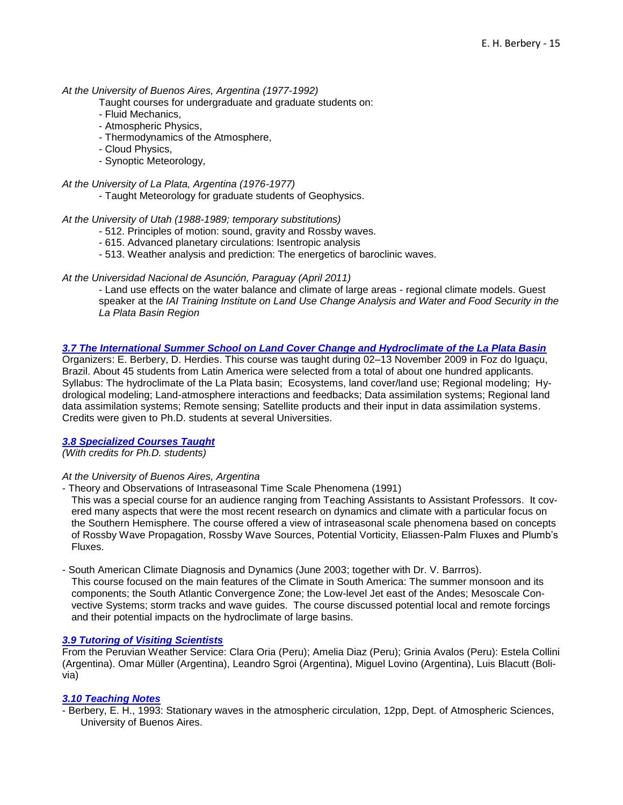## *At the University of Buenos Aires, Argentina (1977-1992)*

- Taught courses for undergraduate and graduate students on:
- Fluid Mechanics,
- Atmospheric Physics,
- Thermodynamics of the Atmosphere,
- Cloud Physics,
- Synoptic Meteorology,
- *At the University of La Plata, Argentina (1976-1977)*
	- Taught Meteorology for graduate students of Geophysics.

#### *At the University of Utah (1988-1989; temporary substitutions)*

- 512. Principles of motion: sound, gravity and Rossby waves.
- 615. Advanced planetary circulations: Isentropic analysis
- 513. Weather analysis and prediction: The energetics of baroclinic waves.

## *At the Universidad Nacional de Asunción, Paraguay (April 2011)*

- Land use effects on the water balance and climate of large areas - regional climate models. Guest speaker at the *IAI Training Institute on Land Use Change Analysis and Water and Food Security in the La Plata Basin Region*

## <span id="page-14-0"></span>*3.7 The International Summer School on Land Cover Change and Hydroclimate of the La Plata Basin*

Organizers: E. Berbery, D. Herdies. This course was taught during 02–13 November 2009 in Foz do Iguaçu, Brazil. About 45 students from Latin America were selected from a total of about one hundred applicants. Syllabus: The hydroclimate of the La Plata basin; Ecosystems, land cover/land use; Regional modeling; Hydrological modeling; Land-atmosphere interactions and feedbacks; Data assimilation systems; Regional land data assimilation systems; Remote sensing; Satellite products and their input in data assimilation systems. Credits were given to Ph.D. students at several Universities.

## <span id="page-14-1"></span>*3.8 Specialized Courses Taught*

*(With credits for Ph.D. students)* 

#### *At the University of Buenos Aires, Argentina*

- Theory and Observations of Intraseasonal Time Scale Phenomena (1991)

This was a special course for an audience ranging from Teaching Assistants to Assistant Professors. It covered many aspects that were the most recent research on dynamics and climate with a particular focus on the Southern Hemisphere. The course offered a view of intraseasonal scale phenomena based on concepts of Rossby Wave Propagation, Rossby Wave Sources, Potential Vorticity, Eliassen-Palm Fluxes and Plumb's Fluxes.

#### - South American Climate Diagnosis and Dynamics (June 2003; together with Dr. V. Barrros).

This course focused on the main features of the Climate in South America: The summer monsoon and its components; the South Atlantic Convergence Zone; the Low-level Jet east of the Andes; Mesoscale Convective Systems; storm tracks and wave guides. The course discussed potential local and remote forcings and their potential impacts on the hydroclimate of large basins.

### <span id="page-14-2"></span>*3.9 Tutoring of Visiting Scientists*

From the Peruvian Weather Service: Clara Oria (Peru); Amelia Diaz (Peru); Grinia Avalos (Peru): Estela Collini (Argentina). Omar Müller (Argentina), Leandro Sgroi (Argentina), Miguel Lovino (Argentina), Luis Blacutt (Bolivia)

## <span id="page-14-3"></span>*3.10 Teaching Notes*

- Berbery, E. H., 1993: Stationary waves in the atmospheric circulation, 12pp, Dept. of Atmospheric Sciences, University of Buenos Aires.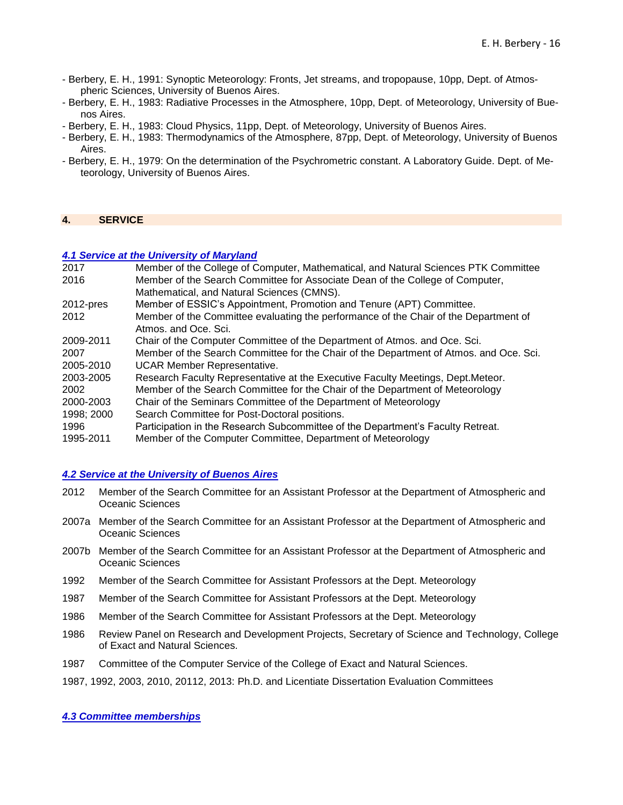- Berbery, E. H., 1991: Synoptic Meteorology: Fronts, Jet streams, and tropopause, 10pp, Dept. of Atmospheric Sciences, University of Buenos Aires.
- Berbery, E. H., 1983: Radiative Processes in the Atmosphere, 10pp, Dept. of Meteorology, University of Buenos Aires.
- Berbery, E. H., 1983: Cloud Physics, 11pp, Dept. of Meteorology, University of Buenos Aires.
- Berbery, E. H., 1983: Thermodynamics of the Atmosphere, 87pp, Dept. of Meteorology, University of Buenos Aires.
- Berbery, E. H., 1979: On the determination of the Psychrometric constant. A Laboratory Guide. Dept. of Meteorology, University of Buenos Aires.

### <span id="page-15-0"></span>**4. SERVICE**

#### <span id="page-15-1"></span>*4.1 Service at the University of Maryland*

| 2017       | Member of the College of Computer, Mathematical, and Natural Sciences PTK Committee    |
|------------|----------------------------------------------------------------------------------------|
| 2016       | Member of the Search Committee for Associate Dean of the College of Computer,          |
|            | Mathematical, and Natural Sciences (CMNS).                                             |
| 2012-pres  | Member of ESSIC's Appointment, Promotion and Tenure (APT) Committee.                   |
| 2012       | Member of the Committee evaluating the performance of the Chair of the Department of   |
|            | Atmos, and Oce, Sci.                                                                   |
| 2009-2011  | Chair of the Computer Committee of the Department of Atmos. and Oce. Sci.              |
| 2007       | Member of the Search Committee for the Chair of the Department of Atmos. and Oce. Sci. |
| 2005-2010  | <b>UCAR Member Representative.</b>                                                     |
| 2003-2005  | Research Faculty Representative at the Executive Faculty Meetings, Dept. Meteor.       |
| 2002       | Member of the Search Committee for the Chair of the Department of Meteorology          |
| 2000-2003  | Chair of the Seminars Committee of the Department of Meteorology                       |
| 1998; 2000 | Search Committee for Post-Doctoral positions.                                          |
| 1996       | Participation in the Research Subcommittee of the Department's Faculty Retreat.        |
| 1995-2011  | Member of the Computer Committee, Department of Meteorology                            |

## <span id="page-15-2"></span>*4.2 Service at the University of Buenos Aires*

- 2012 Member of the Search Committee for an Assistant Professor at the Department of Atmospheric and Oceanic Sciences
- 2007a Member of the Search Committee for an Assistant Professor at the Department of Atmospheric and Oceanic Sciences
- 2007b Member of the Search Committee for an Assistant Professor at the Department of Atmospheric and Oceanic Sciences
- 1992 Member of the Search Committee for Assistant Professors at the Dept. Meteorology
- 1987 Member of the Search Committee for Assistant Professors at the Dept. Meteorology
- 1986 Member of the Search Committee for Assistant Professors at the Dept. Meteorology
- 1986 Review Panel on Research and Development Projects, Secretary of Science and Technology, College of Exact and Natural Sciences.
- 1987 Committee of the Computer Service of the College of Exact and Natural Sciences.
- 1987, 1992, 2003, 2010, 20112, 2013: Ph.D. and Licentiate Dissertation Evaluation Committees

#### <span id="page-15-3"></span>*4.3 Committee memberships*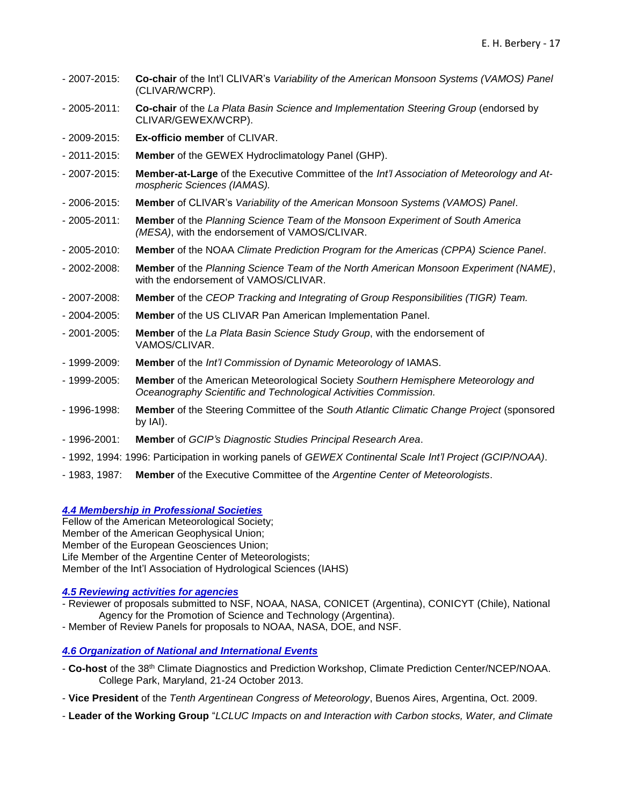- 2007-2015: **Co-chair** of the Int'l CLIVAR's *Variability of the American Monsoon Systems (VAMOS) Panel* (CLIVAR/WCRP).
- 2005-2011: **Co-chair** of the *La Plata Basin Science and Implementation Steering Group* (endorsed by CLIVAR/GEWEX/WCRP).
- 2009-2015: **Ex-officio member** of CLIVAR.
- 2011-2015: **Member** of the GEWEX Hydroclimatology Panel (GHP).
- 2007-2015: **Member-at-Large** of the Executive Committee of the *Int'l Association of Meteorology and Atmospheric Sciences (IAMAS).*
- 2006-2015: **Member** of CLIVAR's *Variability of the American Monsoon Systems (VAMOS) Panel*.
- 2005-2011: **Member** of the *Planning Science Team of the Monsoon Experiment of South America (MESA)*, with the endorsement of VAMOS/CLIVAR.
- 2005-2010: **Member** of the NOAA *Climate Prediction Program for the Americas (CPPA) Science Panel*.
- 2002-2008: **Member** of the *Planning Science Team of the North American Monsoon Experiment (NAME)*, with the endorsement of VAMOS/CLIVAR.
- 2007-2008: **Member** of the *CEOP Tracking and Integrating of Group Responsibilities (TIGR) Team.*
- 2004-2005: **Member** of the US CLIVAR Pan American Implementation Panel.
- 2001-2005: **Member** of the *La Plata Basin Science Study Group*, with the endorsement of VAMOS/CLIVAR.
- 1999-2009: **Member** of the *Int'l Commission of Dynamic Meteorology of* IAMAS.
- 1999-2005: **Member** of the American Meteorological Society *Southern Hemisphere Meteorology and Oceanography Scientific and Technological Activities Commission.*
- 1996-1998: **Member** of the Steering Committee of the *South Atlantic Climatic Change Project* (sponsored by IAI).
- 1996-2001: **Member** of *GCIP's Diagnostic Studies Principal Research Area*.
- 1992, 1994: 1996: Participation in working panels of *GEWEX Continental Scale Int'l Project (GCIP/NOAA)*.
- 1983, 1987: **Member** of the Executive Committee of the *Argentine Center of Meteorologists*.

<span id="page-16-0"></span>*4.4 Membership in Professional Societies*

Fellow of the American Meteorological Society; Member of the American Geophysical Union; Member of the European Geosciences Union; Life Member of the Argentine Center of Meteorologists; Member of the Int'l Association of Hydrological Sciences (IAHS)

## <span id="page-16-1"></span>*4.5 Reviewing activities for agencies*

- Reviewer of proposals submitted to NSF, NOAA, NASA, CONICET (Argentina), CONICYT (Chile), National Agency for the Promotion of Science and Technology (Argentina).
- Member of Review Panels for proposals to NOAA, NASA, DOE, and NSF.

## <span id="page-16-2"></span>*4.6 Organization of National and International Events*

- **Co-host** of the 38th Climate Diagnostics and Prediction Workshop, Climate Prediction Center/NCEP/NOAA. College Park, Maryland, 21-24 October 2013.
- **Vice President** of the *Tenth Argentinean Congress of Meteorology*, Buenos Aires, Argentina, Oct. 2009.
- **Leader of the Working Group** "*LCLUC Impacts on and Interaction with Carbon stocks, Water, and Climate*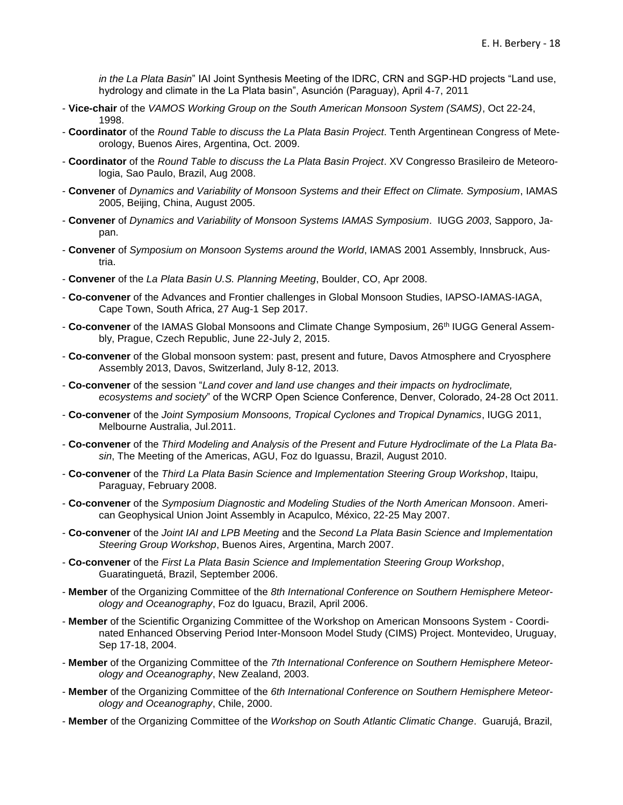*in the La Plata Basin*" IAI Joint Synthesis Meeting of the IDRC, CRN and SGP-HD projects "Land use, hydrology and climate in the La Plata basin", Asunción (Paraguay), April 4-7, 2011

- **Vice-chair** of the *VAMOS Working Group on the South American Monsoon System (SAMS)*, Oct 22-24, 1998.
- **Coordinator** of the *Round Table to discuss the La Plata Basin Project*. Tenth Argentinean Congress of Meteorology, Buenos Aires, Argentina, Oct. 2009.
- **Coordinator** of the *Round Table to discuss the La Plata Basin Project*. XV Congresso Brasileiro de Meteorologia, Sao Paulo, Brazil, Aug 2008.
- **Convener** of *Dynamics and Variability of Monsoon Systems and their Effect on Climate. Symposium*, IAMAS 2005, Beijing, China, August 2005.
- **Convener** of *Dynamics and Variability of Monsoon Systems IAMAS Symposium*. IUGG *2003*, Sapporo, Japan.
- **Convener** of *Symposium on Monsoon Systems around the World*, IAMAS 2001 Assembly, Innsbruck, Austria.
- **Convener** of the *La Plata Basin U.S. Planning Meeting*, Boulder, CO, Apr 2008.
- **Co-convener** of the Advances and Frontier challenges in Global Monsoon Studies, IAPSO-IAMAS-IAGA, Cape Town, South Africa, 27 Aug-1 Sep 2017.
- Co-convener of the IAMAS Global Monsoons and Climate Change Symposium, 26<sup>th</sup> IUGG General Assembly, Prague, Czech Republic, June 22-July 2, 2015.
- **Co-convener** of the Global monsoon system: past, present and future, Davos Atmosphere and Cryosphere Assembly 2013, Davos, Switzerland, July 8-12, 2013.
- **Co-convener** of the session "*Land cover and land use changes and their impacts on hydroclimate, ecosystems and society*" of the WCRP Open Science Conference, Denver, Colorado, 24-28 Oct 2011.
- **Co-convener** of the *Joint Symposium Monsoons, Tropical Cyclones and Tropical Dynamics*, IUGG 2011, Melbourne Australia, Jul.2011.
- **Co-convener** of the *Third Modeling and Analysis of the Present and Future Hydroclimate of the La Plata Basin*, The Meeting of the Americas, AGU, Foz do Iguassu, Brazil, August 2010.
- **Co-convener** of the *Third La Plata Basin Science and Implementation Steering Group Workshop*, Itaipu, Paraguay, February 2008.
- **Co-convener** of the *Symposium Diagnostic and Modeling Studies of the North American Monsoon*. American Geophysical Union Joint Assembly in Acapulco, México, 22-25 May 2007.
- **Co-convener** of the *Joint IAI and LPB Meeting* and the *Second La Plata Basin Science and Implementation Steering Group Workshop*, Buenos Aires, Argentina, March 2007.
- **Co-convener** of the *First La Plata Basin Science and Implementation Steering Group Workshop*, Guaratinguetá, Brazil, September 2006.
- **Member** of the Organizing Committee of the *8th International Conference on Southern Hemisphere Meteorology and Oceanography*, Foz do Iguacu, Brazil, April 2006.
- **Member** of the Scientific Organizing Committee of the Workshop on American Monsoons System Coordinated Enhanced Observing Period Inter-Monsoon Model Study (CIMS) Project. Montevideo, Uruguay, Sep 17-18, 2004.
- **Member** of the Organizing Committee of the *7th International Conference on Southern Hemisphere Meteorology and Oceanography*, New Zealand, 2003.
- **Member** of the Organizing Committee of the *6th International Conference on Southern Hemisphere Meteorology and Oceanography*, Chile, 2000.
- **Member** of the Organizing Committee of the *Workshop on South Atlantic Climatic Change*. Guarujá, Brazil,